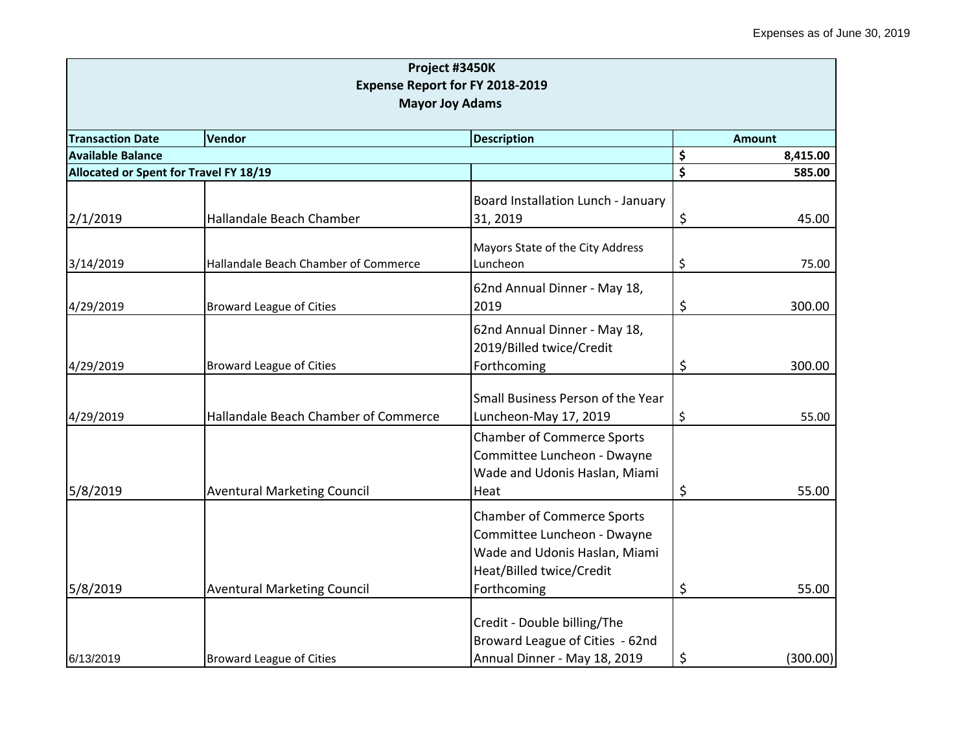| Project #3450K<br>Expense Report for FY 2018-2019<br><b>Mayor Joy Adams</b> |                                      |                                                                                                                                              |    |               |
|-----------------------------------------------------------------------------|--------------------------------------|----------------------------------------------------------------------------------------------------------------------------------------------|----|---------------|
| <b>Transaction Date</b>                                                     | Vendor                               | <b>Description</b>                                                                                                                           |    | <b>Amount</b> |
| <b>Available Balance</b>                                                    |                                      |                                                                                                                                              | \$ | 8,415.00      |
| Allocated or Spent for Travel FY 18/19                                      |                                      |                                                                                                                                              | \$ | 585.00        |
| 2/1/2019                                                                    | Hallandale Beach Chamber             | Board Installation Lunch - January<br>31, 2019                                                                                               | \$ | 45.00         |
| 3/14/2019                                                                   | Hallandale Beach Chamber of Commerce | Mayors State of the City Address<br>Luncheon                                                                                                 | \$ | 75.00         |
| 4/29/2019                                                                   | <b>Broward League of Cities</b>      | 62nd Annual Dinner - May 18,<br>2019                                                                                                         | \$ | 300.00        |
| 4/29/2019                                                                   | <b>Broward League of Cities</b>      | 62nd Annual Dinner - May 18,<br>2019/Billed twice/Credit<br>Forthcoming                                                                      | \$ | 300.00        |
| 4/29/2019                                                                   | Hallandale Beach Chamber of Commerce | Small Business Person of the Year<br>Luncheon-May 17, 2019                                                                                   | \$ | 55.00         |
| 5/8/2019                                                                    | <b>Aventural Marketing Council</b>   | <b>Chamber of Commerce Sports</b><br>Committee Luncheon - Dwayne<br>Wade and Udonis Haslan, Miami<br>Heat                                    | \$ | 55.00         |
| 5/8/2019                                                                    | <b>Aventural Marketing Council</b>   | <b>Chamber of Commerce Sports</b><br>Committee Luncheon - Dwayne<br>Wade and Udonis Haslan, Miami<br>Heat/Billed twice/Credit<br>Forthcoming | \$ | 55.00         |
| 6/13/2019                                                                   | <b>Broward League of Cities</b>      | Credit - Double billing/The<br>Broward League of Cities - 62nd<br>Annual Dinner - May 18, 2019                                               | \$ | (300.00)      |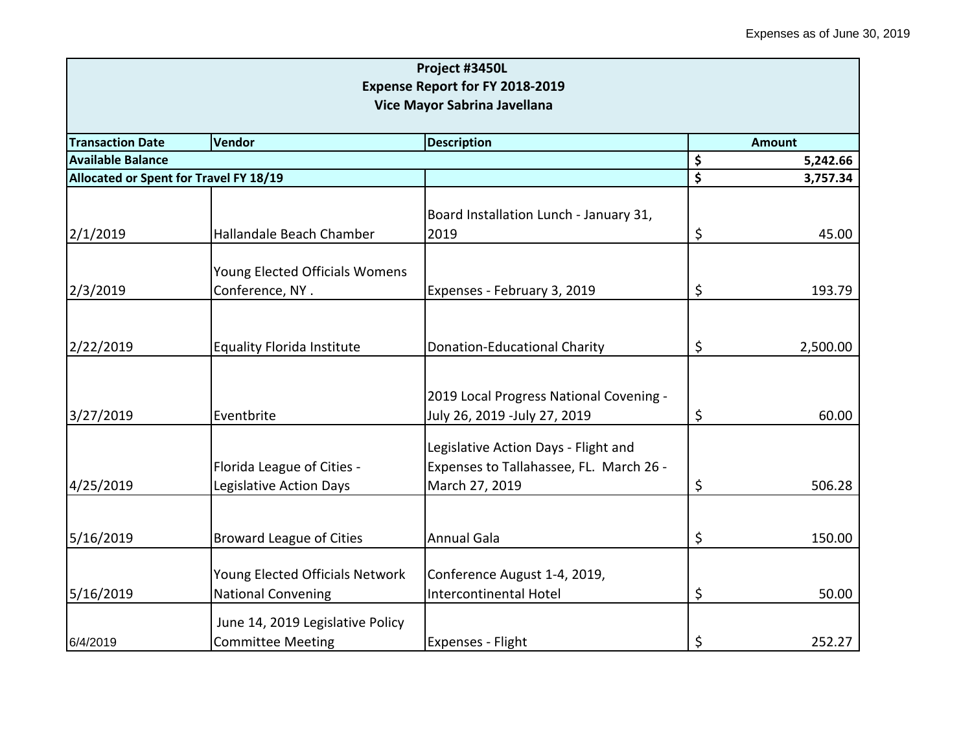|                                                                          |                                   | Project #3450L                          |    |          |  |  |
|--------------------------------------------------------------------------|-----------------------------------|-----------------------------------------|----|----------|--|--|
|                                                                          |                                   | Expense Report for FY 2018-2019         |    |          |  |  |
|                                                                          | Vice Mayor Sabrina Javellana      |                                         |    |          |  |  |
| <b>Transaction Date</b><br>Vendor<br><b>Description</b><br><b>Amount</b> |                                   |                                         |    |          |  |  |
| <b>Available Balance</b>                                                 |                                   |                                         | \$ | 5,242.66 |  |  |
| Allocated or Spent for Travel FY 18/19                                   |                                   |                                         | \$ | 3,757.34 |  |  |
|                                                                          |                                   |                                         |    |          |  |  |
|                                                                          |                                   | Board Installation Lunch - January 31,  |    |          |  |  |
| 2/1/2019                                                                 | Hallandale Beach Chamber          | 2019                                    | \$ | 45.00    |  |  |
|                                                                          |                                   |                                         |    |          |  |  |
|                                                                          | Young Elected Officials Womens    |                                         |    |          |  |  |
| 2/3/2019                                                                 | Conference, NY.                   | Expenses - February 3, 2019             | \$ | 193.79   |  |  |
|                                                                          |                                   |                                         |    |          |  |  |
| 2/22/2019                                                                | <b>Equality Florida Institute</b> | <b>Donation-Educational Charity</b>     | \$ | 2,500.00 |  |  |
|                                                                          |                                   |                                         |    |          |  |  |
|                                                                          |                                   |                                         |    |          |  |  |
|                                                                          |                                   | 2019 Local Progress National Covening - |    |          |  |  |
| 3/27/2019                                                                | Eventbrite                        | July 26, 2019 -July 27, 2019            | \$ | 60.00    |  |  |
|                                                                          |                                   | Legislative Action Days - Flight and    |    |          |  |  |
|                                                                          | Florida League of Cities -        | Expenses to Tallahassee, FL. March 26 - |    |          |  |  |
| 4/25/2019                                                                | Legislative Action Days           | March 27, 2019                          | \$ | 506.28   |  |  |
|                                                                          |                                   |                                         |    |          |  |  |
|                                                                          |                                   |                                         |    |          |  |  |
| 5/16/2019                                                                | <b>Broward League of Cities</b>   | <b>Annual Gala</b>                      | \$ | 150.00   |  |  |
|                                                                          |                                   |                                         |    |          |  |  |
|                                                                          | Young Elected Officials Network   | Conference August 1-4, 2019,            |    |          |  |  |
| 5/16/2019                                                                | <b>National Convening</b>         | Intercontinental Hotel                  | \$ | 50.00    |  |  |
|                                                                          | June 14, 2019 Legislative Policy  |                                         |    |          |  |  |
| 6/4/2019                                                                 | <b>Committee Meeting</b>          | <b>Expenses - Flight</b>                | \$ | 252.27   |  |  |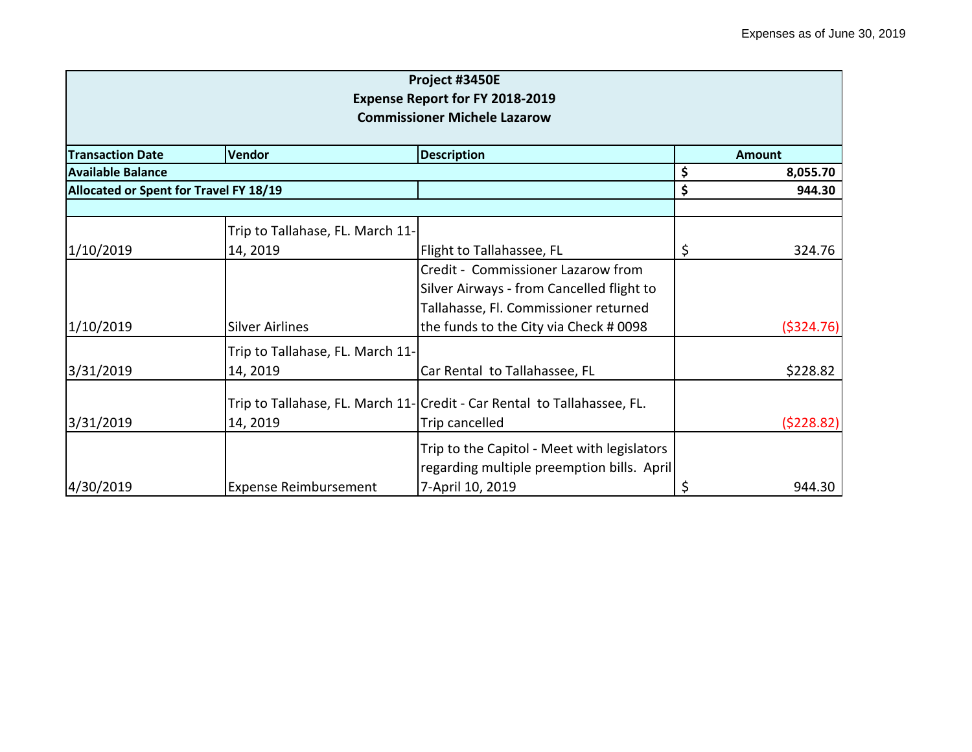| Project #3450E<br><b>Expense Report for FY 2018-2019</b> |                                  |                                                                                           |               |           |  |
|----------------------------------------------------------|----------------------------------|-------------------------------------------------------------------------------------------|---------------|-----------|--|
| <b>Commissioner Michele Lazarow</b>                      |                                  |                                                                                           |               |           |  |
| <b>Transaction Date</b>                                  | Vendor                           | <b>Description</b>                                                                        | <b>Amount</b> |           |  |
| lAvailable Balance                                       |                                  |                                                                                           | \$            | 8,055.70  |  |
| Allocated or Spent for Travel FY 18/19                   |                                  |                                                                                           | \$            | 944.30    |  |
|                                                          |                                  |                                                                                           |               |           |  |
|                                                          | Trip to Tallahase, FL. March 11- |                                                                                           |               |           |  |
| 1/10/2019                                                | 14, 2019                         | Flight to Tallahassee, FL                                                                 | \$            | 324.76    |  |
|                                                          |                                  | Credit - Commissioner Lazarow from                                                        |               |           |  |
|                                                          |                                  | Silver Airways - from Cancelled flight to                                                 |               |           |  |
|                                                          |                                  | Tallahasse, Fl. Commissioner returned                                                     |               |           |  |
| 1/10/2019                                                | <b>Silver Airlines</b>           | the funds to the City via Check # 0098                                                    |               | (5324.76) |  |
|                                                          | Trip to Tallahase, FL. March 11- |                                                                                           |               |           |  |
| 3/31/2019                                                | 14, 2019                         | Car Rental to Tallahassee, FL                                                             |               | \$228.82  |  |
|                                                          |                                  | Trip to Tallahase, FL. March 11-Credit - Car Rental to Tallahassee, FL.                   |               |           |  |
| 3/31/2019                                                | 14, 2019                         | Trip cancelled                                                                            |               | (5228.82) |  |
|                                                          |                                  | Trip to the Capitol - Meet with legislators<br>regarding multiple preemption bills. April |               |           |  |
| 4/30/2019                                                | <b>Expense Reimbursement</b>     | 7-April 10, 2019                                                                          | \$            | 944.30    |  |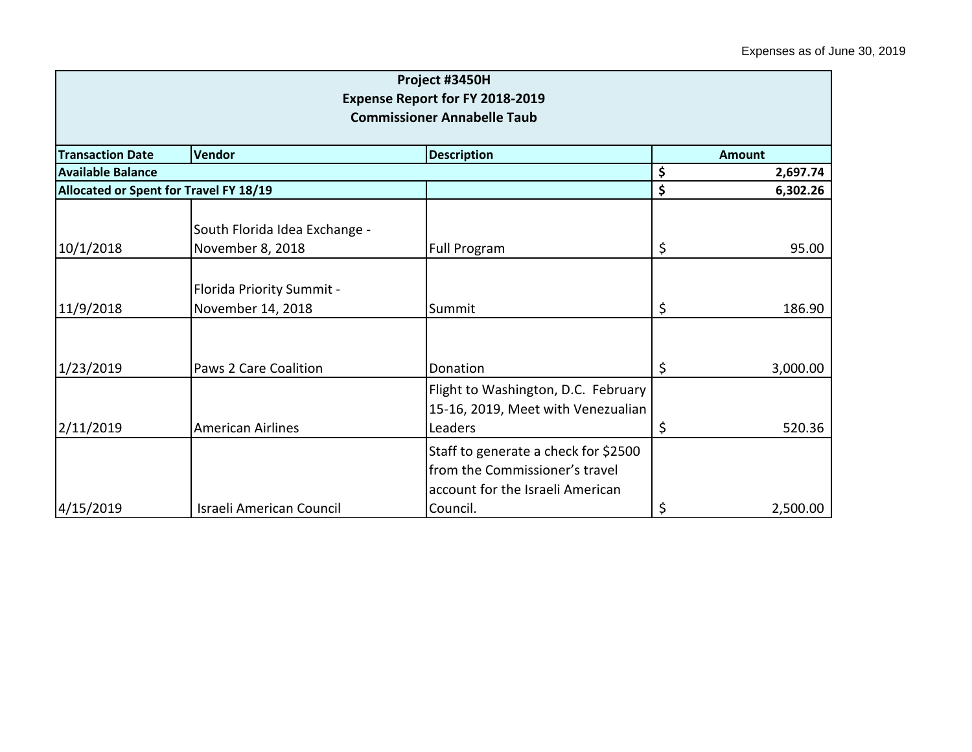| Project #3450H<br>Expense Report for FY 2018-2019<br><b>Commissioner Annabelle Taub</b> |                                                   |                                                                                                            |         |          |
|-----------------------------------------------------------------------------------------|---------------------------------------------------|------------------------------------------------------------------------------------------------------------|---------|----------|
| <b>Transaction Date</b>                                                                 | Vendor                                            | <b>Description</b>                                                                                         |         | Amount   |
| <b>Available Balance</b>                                                                |                                                   |                                                                                                            | \$      | 2,697.74 |
| Allocated or Spent for Travel FY 18/19                                                  |                                                   |                                                                                                            | \$      | 6,302.26 |
| 10/1/2018                                                                               | South Florida Idea Exchange -<br>November 8, 2018 | <b>Full Program</b>                                                                                        | \$      | 95.00    |
| 11/9/2018                                                                               | Florida Priority Summit -<br>November 14, 2018    | Summit                                                                                                     | $\zeta$ | 186.90   |
| 1/23/2019                                                                               | <b>Paws 2 Care Coalition</b>                      | Donation                                                                                                   | $\zeta$ | 3,000.00 |
| 2/11/2019                                                                               | <b>American Airlines</b>                          | Flight to Washington, D.C. February<br>15-16, 2019, Meet with Venezualian<br>Leaders                       | \$      | 520.36   |
|                                                                                         |                                                   | Staff to generate a check for \$2500<br>from the Commissioner's travel<br>account for the Israeli American |         |          |
| 4/15/2019                                                                               | Israeli American Council                          | Council.                                                                                                   | \$      | 2,500.00 |